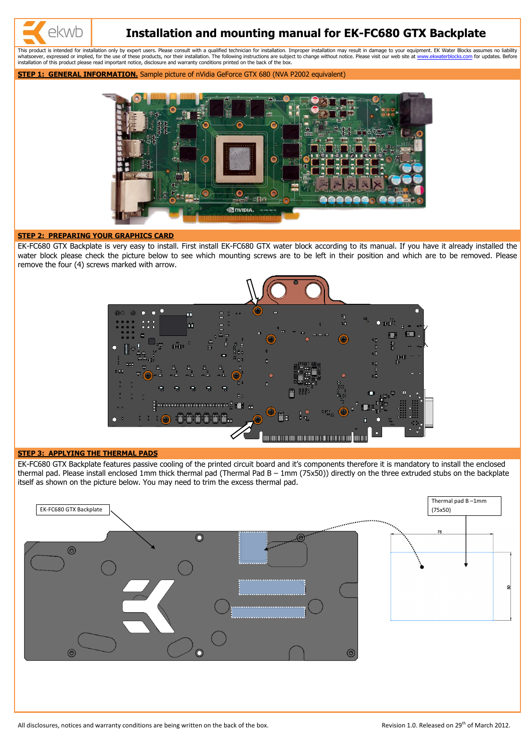# **Installation and mounting manual for EK-FC680 GTX Backplate**

This product is intended for installation only by expert users. Please consult with a qualified technician for installation. Improper installation may result in damage to your equipment. EK Water Blocks assumes no liabilit whatsoever, expressed or implied, for the use of these products, nor their installation. The following instructions are subject to change without notice. Please visit our web site at [www.ekwaterblocks.com](http://www.ekwaterblocks.com/) for updates. Befo installation of this product please read important notice, disclosure and warranty conditions printed on the back of the box.

**STEP 1: GENERAL INFORMATION.** Sample picture of nVidia GeForce GTX 680 (NVA P2002 equivalent)



## **STEP 2: PREPARING YOUR GRAPHICS CARD**

ekwb

EK-FC680 GTX Backplate is very easy to install. First install EK-FC680 GTX water block according to its manual. If you have it already installed the water block please check the picture below to see which mounting screws are to be left in their position and which are to be removed. Please remove the four (4) screws marked with arrow.



### **STEP 3: APPLYING THE THERMAL PADS**

EK-FC680 GTX Backplate features passive cooling of the printed circuit board and it's components therefore it is mandatory to install the enclosed thermal pad. Please install enclosed 1mm thick thermal pad (Thermal Pad B – 1mm (75x50)) directly on the three extruded stubs on the backplate itself as shown on the picture below. You may need to trim the excess thermal pad.



All disclosures, notices and warranty conditions are being written on the back of the box. Revision 1.0. Released on 29<sup>th</sup> of March 2012.